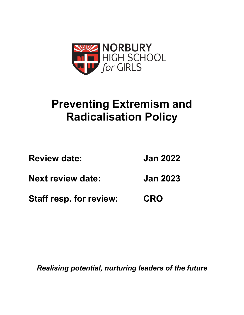

## **Preventing Extremism and Radicalisation Policy**

| <b>Review date:</b>            | <b>Jan 2022</b> |
|--------------------------------|-----------------|
| <b>Next review date:</b>       | <b>Jan 2023</b> |
| <b>Staff resp. for review:</b> | <b>CRO</b>      |

*Realising potential, nurturing leaders of the future*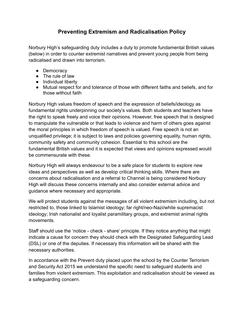## **Preventing Extremism and Radicalisation Policy**

Norbury High's safeguarding duty includes a duty to promote fundamental British values (below) in order to counter extremist narratives and prevent young people from being radicalised and drawn into terrorism.

- Democracy
- The rule of law
- Individual liberty
- Mutual respect for and tolerance of those with different faiths and beliefs, and for those without faith

Norbury High values freedom of speech and the expression of beliefs/ideology as fundamental rights underpinning our society's values. Both students and teachers have the right to speak freely and voice their opinions. However, free speech that is designed to manipulate the vulnerable or that leads to violence and harm of others goes against the moral principles in which freedom of speech is valued. Free speech is not an unqualified privilege; it is subject to laws and policies governing equality, human rights, community safety and community cohesion. Essential to this school are the fundamental British values and it is expected that views and opinions expressed would be commensurate with these.

Norbury High will always endeavour to be a safe place for students to explore new ideas and perspectives as well as develop critical thinking skills. Where there are concerns about radicalisation and a referral to Channel is being considered Norbury High will discuss these concerns internally and also consider external advice and guidance where necessary and appropriate.

We will protect students against the messages of all violent extremism including, but not restricted to, those linked to Islamist ideology; far right/neo-Nazi/white supremacist ideology; Irish nationalist and loyalist paramilitary groups, and extremist animal rights movements.

Staff should use the 'notice - check - share' principle. If they notice anything that might indicate a cause for concern they should check with the Designated Safeguarding Lead (DSL) or one of the deputies. If necessary this information will be shared with the necessary authorities.

In accordance with the Prevent duty placed upon the school by the Counter Terrorism and Security Act 2015 we understand the specific need to safeguard students and families from violent extremism. This exploitation and radicalisation should be viewed as a safeguarding concern.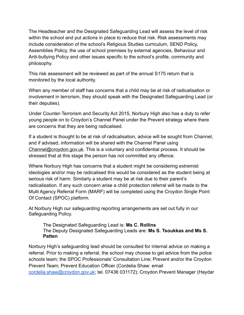The Headteacher and the Designated Safeguarding Lead will assess the level of risk within the school and put actions in place to reduce that risk. Risk assessments may include consideration of the school's Religious Studies curriculum, SEND Policy, Assemblies Policy, the use of school premises by external agencies, Behaviour and Anti-bullying Policy and other issues specific to the school's profile, community and philosophy.

This risk assessment will be reviewed as part of the annual S175 return that is monitored by the local authority.

When any member of staff has concerns that a child may be at risk of radicalisation or involvement in terrorism, they should speak with the Designated Safeguarding Lead (or their deputies).

Under Counter-Terrorism and Security Act 2015, Norbury High also has a duty to refer young people on to Croydon's Channel Panel under the Prevent strategy where there are concerns that they are being radicalised.

If a student is thought to be at risk of radicalisation, advice will be sought from Channel, and if advised, information will be shared with the Channel Panel using [Channel@croydon.gov.uk](mailto:Channel@croydon.gov.uk). This is a voluntary and confidential process. It should be stressed that at this stage the person has not committed any offence.

Where Norbury High has concerns that a student might be considering extremist ideologies and/or may be radicalised this would be considered as the student being at serious risk of harm. Similarly a student may be at risk due to their parent's radicalisation. If any such concern arise a child protection referral will be made to the Multi Agency Referral Form (MARF) will be completed using the Croydon Single Point Of Contact (SPOC) platform.

At Norbury High our safeguarding reporting arrangements are set out fully in our Safeguarding Policy.

The Designated Safeguarding Lead is: **Ms C. Rollins** The Deputy Designated Safeguarding Leads are: **Ms S. Tsoukkas and Ms S. Patten** 

Norbury High's safeguarding lead should be consulted for internal advice on making a referral. Prior to making a referral, the school may choose to get advice from the police schools team; the SPOC Professionals' Consultation Line; Prevent and/or the Croydon Prevent Team; Prevent Education Officer (Cordelia Shaw: email [cordelia.shaw@croydon.gov.uk](mailto:cordelia.shaw@croydon.gov.uk); tel. 07436 031172); Croydon Prevent Manager (Haydar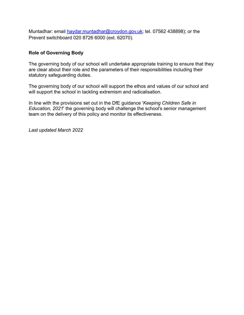Muntadhar: email [haydar.muntadhar@croydon.gov.uk](mailto:haydar.muntadhar@croydon.gov.uk); tel. 07562 438898); or the Prevent switchboard 020 8726 6000 (ext. 62070).

## **Role of Governing Body**

The governing body of our school will undertake appropriate training to ensure that they are clear about their role and the parameters of their responsibilities including their statutory safeguarding duties.

The governing body of our school will support the ethos and values of our school and will support the school in tackling extremism and radicalisation.

In line with the provisions set out in the DfE guidance '*Keeping Children Safe in Education, 2021*' the governing body will challenge the school's senior management team on the delivery of this policy and monitor its effectiveness.

*Last updated March 2022*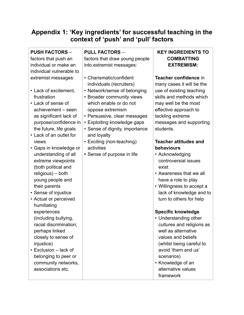## **Appendix 1: 'Key ingredients' for successful teaching in the context of 'push' and 'pull' factors**

| <b>PUSH FACTORS -</b><br>factors that push an<br>individual or make an<br>individual vulnerable to                                                                                                 | <b>PULL FACTORS -</b><br>factors that draw young people<br>into extremist messages:                                                                                                                      | <b>KEY INGREDIENTS TO</b><br><b>COMBATTING</b><br><b>EXTREMISM:</b>                                                                                                                                                      |
|----------------------------------------------------------------------------------------------------------------------------------------------------------------------------------------------------|----------------------------------------------------------------------------------------------------------------------------------------------------------------------------------------------------------|--------------------------------------------------------------------------------------------------------------------------------------------------------------------------------------------------------------------------|
| extremist messages:                                                                                                                                                                                | • Charismatic/confident<br>individuals (recruiters)                                                                                                                                                      | Teacher confidence in<br>many cases it will be the                                                                                                                                                                       |
| • Lack of excitement,<br>frustration<br>• Lack of sense of<br>achievement - seen<br>as significant lack of<br>purpose/confidence in<br>the future, life goals                                      | • Network/sense of belonging<br>• Broader community views<br>which enable or do not<br>oppose extremism<br>• Persuasive, clear messages<br>• Exploiting knowledge gaps<br>• Sense of dignity, importance | use of existing teaching<br>skills and methods which<br>may well be the most<br>effective approach to<br>tackling extreme<br>messages and supporting<br>students.                                                        |
| • Lack of an outlet for<br>views                                                                                                                                                                   | and loyalty<br>• Exciting (non-teaching)                                                                                                                                                                 | <b>Teacher attitudes and</b>                                                                                                                                                                                             |
| • Gaps in knowledge or                                                                                                                                                                             | activities                                                                                                                                                                                               | behaviours                                                                                                                                                                                                               |
| understanding of all<br>extreme viewpoints<br>(both political and<br>religious) - both<br>young people and<br>their parents<br>• Sense of injustice<br>• Actual or perceived<br>humiliating        | • Sense of purpose in life                                                                                                                                                                               | • Acknowledging<br>controversial issues<br>exist<br>• Awareness that we all<br>have a role to play<br>• Willingness to accept a<br>lack of knowledge and to<br>turn to others for help                                   |
| experiences                                                                                                                                                                                        |                                                                                                                                                                                                          | <b>Specific knowledge</b>                                                                                                                                                                                                |
| (including bullying,<br>racial discrimination;<br>perhaps linked<br>closely to sense of<br>injustice)<br>• Exclusion - lack of<br>belonging to peer or<br>community networks,<br>associations etc. |                                                                                                                                                                                                          | • Understanding other<br>cultures and religions as<br>well as alternative<br>values and beliefs<br>(whilst being careful to<br>avoid 'them and us'<br>scenarios)<br>• Knowledge of an<br>alternative values<br>framework |